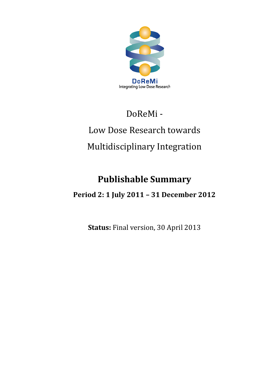

## DoReMi -

# Low Dose Research towards Multidisciplinary Integration

## **Publishable Summary**

### **Period 2: 1 July 2011 – 31 December 2012**

**Status:** Final version, 30 April 2013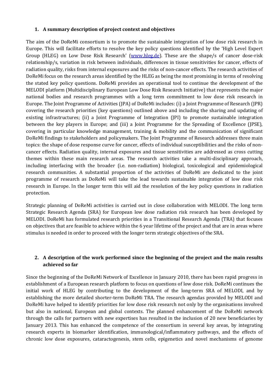#### **1. A summary description of project context and objectives**

The aim of the DoReMi consortium is to promote the sustainable integration of low dose risk research in Europe. This will facilitate efforts to resolve the key policy questions identified by the 'High Level Expert Group (HLEG) on Low Dose Risk Research' (www.hleg.de). These are the shape/s of cancer dose-risk relationship/s, variation in risk between individuals, differences in tissue sensitivities for cancer, effects of radiation quality, risks from internal exposures and the risks of non-cancer effects. The research activities of DoReMi focus on the research areas identified by the HLEG as being the most promising in terms of resolving the stated key policy questions. DoReMi provides an operational tool to continue the development of the MELODI platform (Multidisciplinary European Low Dose Risk Research Initiative) that represents the major national bodies and research programmes with a long term commitment to low dose risk research in Europe. The Joint Programme of Activities (JPA) of DoReMi includes: (i) a Joint Programme of Research (JPR) covering the research priorities (key questions) outlined above and including the sharing and updating of existing infrastructures; (ii) a Joint Programme of Integration (JPI) to promote sustainable integration between the key players in Europe; and (iii) a Joint Programme for the Spreading of Excellence (JPSE), covering in particular knowledge management, training & mobility and the communication of significant DoReMi findings to stakeholders and policymakers. The Joint Programme of Research addresses three main topics: the shape of dose response curve for cancer, effects of individual susceptibilities and the risks of noncancer effects. Radiation quality, internal exposures and tissue sensitivities are addressed as cross cutting themes within these main research areas. The research activities take a multi-disciplinary approach, including interfacing with the broader (i.e. non-radiation) biological, toxicological and epidemiological research communities. A substantial proportion of the activities of DoReMi are dedicated to the joint programme of research as DoReMi will take the lead towards sustainable integration of low dose risk research in Europe. In the longer term this will aid the resolution of the key policy questions in radiation protection.

Strategic planning of DoReMi activities is carried out in close collaboration with MELODI. The long term Strategic Research Agenda (SRA) for European low dose radiation risk research has been developed by MELODI. DoReMi has formulated research priorities in a Transitional Research Agenda (TRA) that focuses on objectives that are feasible to achieve within the 6 year lifetime of the project and that are in areas where stimulus is needed in order to proceed with the longer term strategic objectives of the SRA.

#### **2. A description of the work performed since the beginning of the project and the main results achieved so far**

Since the beginning of the DoReMi Network of Excellence in January 2010, there has been rapid progress in establishment of a European research platform to focus on questions of low dose risk. DoReMi continues the initial work of HLEG by contributing to the development of the long-term SRA of MELODI, and by establishing the more detailed shorter-term DoReMi TRA. The research agendas provided by MELODI and DoReMi have helped to identify priorities for low dose risk research not only by the organisations involved but also in national, European and global contexts. The planned enhancement of the DoReMi network through the calls for partners with new expertises has resulted in the inclusion of 20 new beneficiaries by January 2013. This has enhanced the competence of the consortium in several key areas, by integrating research experts in biomarker identification, immunological/inflammatory pathways, and the effects of chronic low dose exposures, cataractogenesis, stem cells, epigenetics and novel mechanisms of genome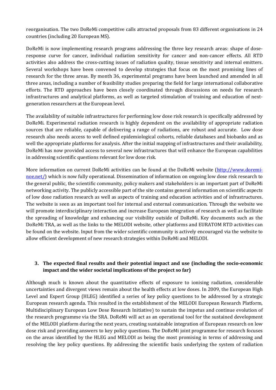reorganisation. The two DoReMi competitive calls attracted proposals from 83 different organisations in 24 countries (including 20 European MS).

DoReMi is now implementing research programs addressing the three key research areas: shape of doseresponse curve for cancer, individual radiation sensitivity for cancer and non-cancer effects. All RTD activities also address the cross-cutting issues of radiation quality, tissue sensitivity and internal emitters. Several workshops have been convened to develop strategies that focus on the most promising lines of research for the three areas. By month 36, experimental programs have been launched and amended in all three areas, including a number of feasibility studies preparing the field for large international collaborative efforts. The RTD approaches have been closely coordinated through discussions on needs for research infrastructures and analytical platforms, as well as targeted stimulation of training and education of nextgeneration researchers at the European level.

The availability of suitable infrastructures for performing low dose risk research is specifically addressed by DoReMi. Experimental radiation research is highly dependent on the availability of appropriate radiation sources that are reliable, capable of delivering a range of radiations, are robust and accurate. Low dose research also needs access to well defined epidemiological cohorts, reliable databases and biobanks and as well the appropriate platforms for analysis. After the initial mapping of infrastructures and their availability, DoReMi has now provided access to several new infrastructures that will enhance the European capabilities in addressing scientific questions relevant for low dose risk.

More information on current DoReMi activities can be found at the DoReMi website [\(http://www.doremi](http://www.doremi-noe.net/)[noe.net/\)](http://www.doremi-noe.net/) which is now fully operational. Dissemination of information on ongoing low dose risk research to the general public, the scientific community, policy makers and stakeholders is an important part of DoReMi networking activity. The publicly accessible part of the site contains general information on scientific aspects of low dose radiation research as well as aspects of training and education activities and of infrastructures. The website is seen as an important tool for internal and external communication. Through the website we will promote interdisciplinary interaction and increase European integration of research as well as facilitate the spreading of knowledge and enhancing our visibility outside of DoReMi. Key documents such as the DoReMi TRA, as well as the links to the MELODI website, other platforms and EURATOM RTD activities can be found on the website. Input from the wider scientific community is actively encouraged via the website to allow efficient development of new research strategies within DoReMi and MELODI.

#### **3. The expected final results and their potential impact and use (including the socio-economic impact and the wider societal implications of the project so far)**

Although much is known about the quantitative effects of exposure to ionising radiation, considerable uncertainties and divergent views remain about the health effects at low doses. In 2009, the European High Level and Expert Group (HLEG) identified a series of key policy questions to be addressed by a strategic European research agenda. This resulted in the establishment of the MELODI European Research Platform, Multidisciplinary European Low Dose Research Initiative) to sustain the impetus and continue evolution of the research programme via the SRA. DoReMi will act as an operational tool for the sustained development of the MELODI platform during the next years, creating sustainable integration of European research on low dose risk and providing answers to key policy questions. The DoReMi joint programme for research focuses on the areas identified by the HLEG and MELODI as being the most promising in terms of addressing and resolving the key policy questions. By addressing the scientific basis underlying the system of radiation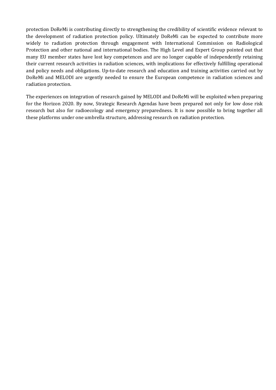protection DoReMi is contributing directly to strengthening the credibility of scientific evidence relevant to the development of radiation protection policy. Ultimately DoReMi can be expected to contribute more widely to radiation protection through engagement with International Commission on Radiological Protection and other national and international bodies. The High Level and Expert Group pointed out that many EU member states have lost key competences and are no longer capable of independently retaining their current research activities in radiation sciences, with implications for effectively fulfilling operational and policy needs and obligations. Up-to-date research and education and training activities carried out by DoReMi and MELODI are urgently needed to ensure the European competence in radiation sciences and radiation protection.

The experiences on integration of research gained by MELODI and DoReMi will be exploited when preparing for the Horizon 2020. By now, Strategic Research Agendas have been prepared not only for low dose risk research but also for radioecology and emergency preparedness. It is now possible to bring together all these platforms under one umbrella structure, addressing research on radiation protection.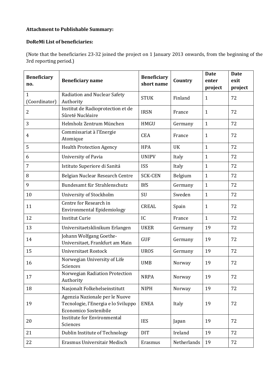#### **Attachment to Publishable Summary:**

#### **DoReMi List of beneficiaries:**

(Note that the beneficiaries 23-32 joined the project on 1 January 2013 onwards, from the beginning of the 3rd reporting period.)

| <b>Beneficiary</b><br>no.     | <b>Beneficiary name</b>                                                                        | <b>Beneficiary</b><br>short name | Country     | <b>Date</b><br>enter<br>project | <b>Date</b><br>exit<br>project |
|-------------------------------|------------------------------------------------------------------------------------------------|----------------------------------|-------------|---------------------------------|--------------------------------|
| $\mathbf{1}$<br>(Coordinator) | Radiation and Nuclear Safety<br>Authority                                                      | <b>STUK</b>                      | Finland     | 1                               | 72                             |
| $\overline{2}$                | Institut de Radioprotection et de<br>Sûreté Nucléaire                                          | <b>IRSN</b>                      | France      | $\mathbf{1}$                    | 72                             |
| 3                             | Helmholz Zentrum München                                                                       | <b>HMGU</b>                      | Germany     | $\mathbf{1}$                    | 72                             |
| 4                             | Commissariat à l'Energie<br>Atomique                                                           | <b>CEA</b>                       | France      | $\mathbf{1}$                    | 72                             |
| 5                             | <b>Health Protection Agency</b>                                                                | <b>HPA</b>                       | <b>UK</b>   | $\mathbf{1}$                    | 72                             |
| 6                             | University of Pavia                                                                            | <b>UNIPV</b>                     | Italy       | $\mathbf{1}$                    | 72                             |
| 7                             | Istituto Superiore di Sanitá                                                                   | <b>ISS</b>                       | Italy       | $\mathbf{1}$                    | 72                             |
| 8                             | Belgian Nuclear Research Centre                                                                | <b>SCK-CEN</b>                   | Belgium     | $\mathbf{1}$                    | 72                             |
| 9                             | Bundesamt für Strahlenschutz                                                                   | <b>BfS</b>                       | Germany     | $\mathbf{1}$                    | 72                             |
| 10                            | University of Stockholm                                                                        | SU                               | Sweden      | $\mathbf{1}$                    | 72                             |
| 11                            | Centre for Research in<br><b>Environmental Epidemiology</b>                                    | <b>CREAL</b>                     | Spain       | $\mathbf{1}$                    | 72                             |
| 12                            | <b>Institut Curie</b>                                                                          | IC                               | France      | $\mathbf{1}$                    | 72                             |
| 13                            | Universitaetsklinikum Erlangen                                                                 | <b>UKER</b>                      | Germany     | 19                              | 72                             |
| 14                            | Johann Wolfgang Goethe-<br>Universitaet, Frankfurt am Main                                     | <b>GUF</b>                       | Germany     | 19                              | 72                             |
| 15                            | Universitaet Rostock                                                                           | <b>UROS</b>                      | Germany     | 19                              | 72                             |
| 16                            | Norwegian University of Life<br>Sciences                                                       | <b>UMB</b>                       | Norway      | 19                              | 72                             |
| 17                            | Norwegian Radiation Protection<br>Authority                                                    | <b>NRPA</b>                      | Norway      | 19                              | 72                             |
| 18                            | Nasjonalt Folkehelseinstitutt                                                                  | <b>NIPH</b>                      | Norway      | 19                              | 72                             |
| 19                            | Agenzia Nazionale per le Nuove<br>Tecnologie, l'Energia e lo Sviluppo<br>Economico Sostenibile | <b>ENEA</b>                      | Italy       | 19                              | 72                             |
| 20                            | <b>Institute for Environmental</b><br>Sciences                                                 | <b>IES</b>                       | Japan       | 19                              | 72                             |
| 21                            | Dublin Institute of Technology                                                                 | <b>DIT</b>                       | Ireland     | 19                              | 72                             |
| 22                            | Erasmus Universitair Medisch                                                                   | Erasmus                          | Netherlands | 19                              | 72                             |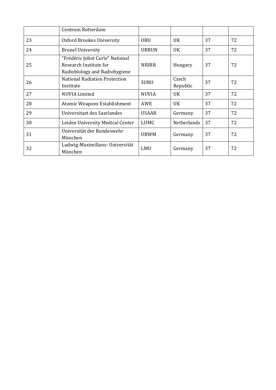|    | Centrum Rotterdam                                                                           |              |                    |    |    |
|----|---------------------------------------------------------------------------------------------|--------------|--------------------|----|----|
| 23 | Oxford Brookes University                                                                   | <b>OBU</b>   | <b>UK</b>          | 37 | 72 |
| 24 | <b>Brunel University</b>                                                                    | <b>UBRUN</b> | <b>UK</b>          | 37 | 72 |
| 25 | "Frédéric Joliot Curie" National<br>Research Institute for<br>Radiobiology and Radiohygiene | <b>NRIRR</b> | Hungary            | 37 | 72 |
| 26 | <b>National Radiation Protection</b><br>Institute                                           | <b>SURO</b>  | Czech<br>Republic  | 37 | 72 |
| 27 | <b>NUVIA Limited</b>                                                                        | <b>NUVIA</b> | <b>UK</b>          | 37 | 72 |
| 28 | Atomic Weapons Establishment                                                                | AWE          | <b>UK</b>          | 37 | 72 |
| 29 | Universitaet des Saarlandes                                                                 | <b>USAAR</b> | Germany            | 37 | 72 |
| 30 | Leiden University Medical Center                                                            | <b>LUMC</b>  | <b>Netherlands</b> | 37 | 72 |
| 31 | Universität der Bundeswehr<br>München                                                       | <b>UBWM</b>  | Germany            | 37 | 72 |
| 32 | Ludwig-Maximilians- Universität<br>München                                                  | LMU          | Germany            | 37 | 72 |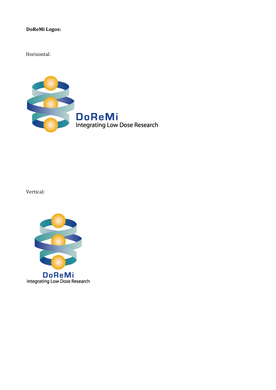#### **DoReMi Logos:**

Horizontal:



Vertical: